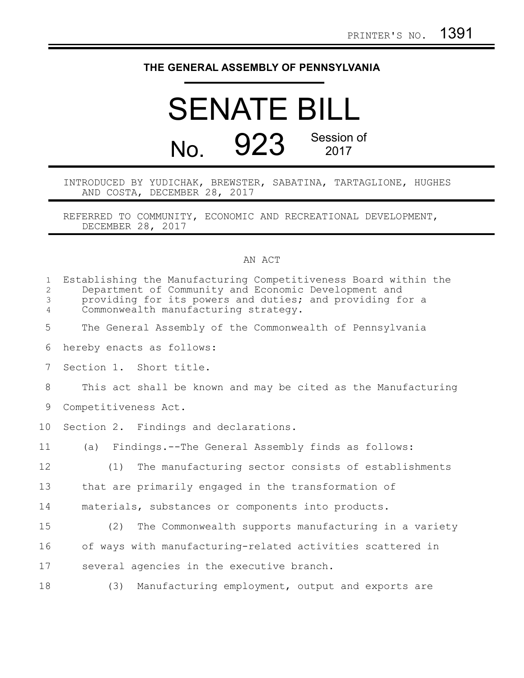## **THE GENERAL ASSEMBLY OF PENNSYLVANIA**

## SENATE BILL No. 923 Session of 2017

INTRODUCED BY YUDICHAK, BREWSTER, SABATINA, TARTAGLIONE, HUGHES AND COSTA, DECEMBER 28, 2017

REFERRED TO COMMUNITY, ECONOMIC AND RECREATIONAL DEVELOPMENT, DECEMBER 28, 2017

## AN ACT

| $\mathbf{1}$<br>$\overline{c}$<br>3<br>$\overline{4}$ | Establishing the Manufacturing Competitiveness Board within the<br>Department of Community and Economic Development and<br>providing for its powers and duties; and providing for a<br>Commonwealth manufacturing strategy. |  |  |
|-------------------------------------------------------|-----------------------------------------------------------------------------------------------------------------------------------------------------------------------------------------------------------------------------|--|--|
| 5                                                     | The General Assembly of the Commonwealth of Pennsylvania                                                                                                                                                                    |  |  |
| 6                                                     | hereby enacts as follows:                                                                                                                                                                                                   |  |  |
| 7                                                     | Section 1. Short title.                                                                                                                                                                                                     |  |  |
| 8                                                     | This act shall be known and may be cited as the Manufacturing                                                                                                                                                               |  |  |
| 9                                                     | Competitiveness Act.                                                                                                                                                                                                        |  |  |
| 10                                                    | Section 2. Findings and declarations.                                                                                                                                                                                       |  |  |
| 11                                                    | (a) Findings.--The General Assembly finds as follows:                                                                                                                                                                       |  |  |
| 12                                                    | The manufacturing sector consists of establishments<br>(1)                                                                                                                                                                  |  |  |
| 13                                                    | that are primarily engaged in the transformation of                                                                                                                                                                         |  |  |
| 14                                                    | materials, substances or components into products.                                                                                                                                                                          |  |  |
| 15                                                    | (2) The Commonwealth supports manufacturing in a variety                                                                                                                                                                    |  |  |
| 16                                                    | of ways with manufacturing-related activities scattered in                                                                                                                                                                  |  |  |
| 17                                                    | several agencies in the executive branch.                                                                                                                                                                                   |  |  |
| 18                                                    | Manufacturing employment, output and exports are<br>(3)                                                                                                                                                                     |  |  |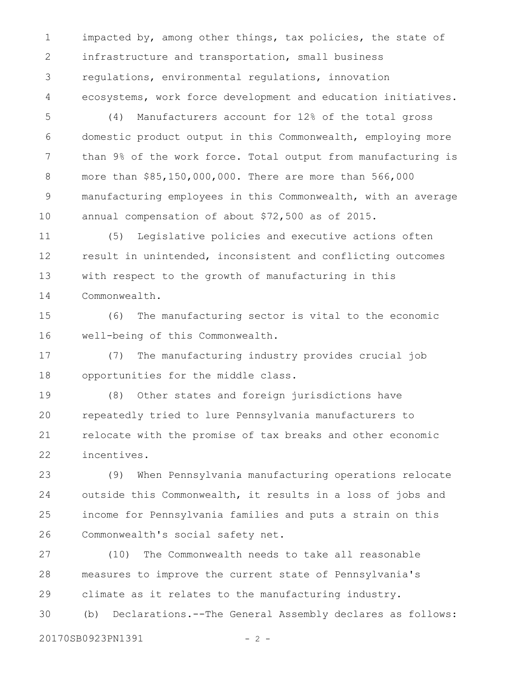impacted by, among other things, tax policies, the state of infrastructure and transportation, small business regulations, environmental regulations, innovation ecosystems, work force development and education initiatives. 1 2 3 4

(4) Manufacturers account for 12% of the total gross domestic product output in this Commonwealth, employing more than 9% of the work force. Total output from manufacturing is more than \$85,150,000,000. There are more than 566,000 manufacturing employees in this Commonwealth, with an average annual compensation of about \$72,500 as of 2015. 5 6 7 8 9 10

(5) Legislative policies and executive actions often result in unintended, inconsistent and conflicting outcomes with respect to the growth of manufacturing in this Commonwealth. 11 12 13 14

(6) The manufacturing sector is vital to the economic well-being of this Commonwealth. 15 16

(7) The manufacturing industry provides crucial job opportunities for the middle class. 17 18

(8) Other states and foreign jurisdictions have repeatedly tried to lure Pennsylvania manufacturers to relocate with the promise of tax breaks and other economic incentives. 19 20 21 22

(9) When Pennsylvania manufacturing operations relocate outside this Commonwealth, it results in a loss of jobs and income for Pennsylvania families and puts a strain on this Commonwealth's social safety net. 23 24 25 26

(10) The Commonwealth needs to take all reasonable measures to improve the current state of Pennsylvania's climate as it relates to the manufacturing industry. (b) Declarations.--The General Assembly declares as follows: 27 28 29 30

20170SB0923PN1391 - 2 -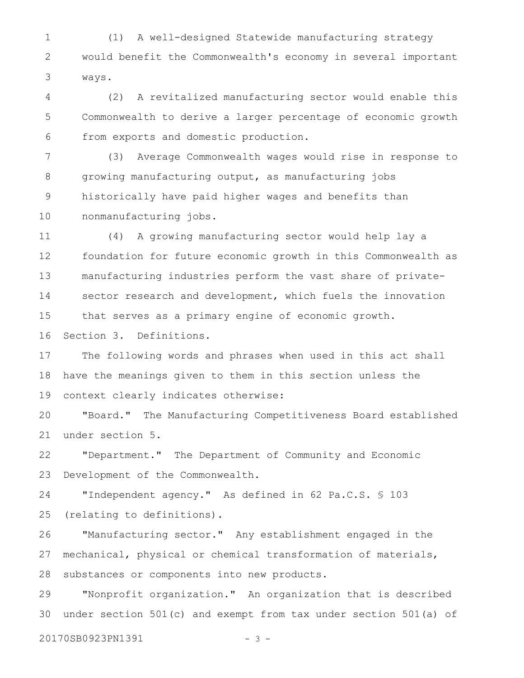(1) A well-designed Statewide manufacturing strategy would benefit the Commonwealth's economy in several important ways. 1 2 3

(2) A revitalized manufacturing sector would enable this Commonwealth to derive a larger percentage of economic growth from exports and domestic production. 4 5 6

(3) Average Commonwealth wages would rise in response to growing manufacturing output, as manufacturing jobs historically have paid higher wages and benefits than nonmanufacturing jobs. 7 8 9 10

(4) A growing manufacturing sector would help lay a foundation for future economic growth in this Commonwealth as manufacturing industries perform the vast share of privatesector research and development, which fuels the innovation that serves as a primary engine of economic growth. Section 3. Definitions. 11 12 13 14 15 16

The following words and phrases when used in this act shall have the meanings given to them in this section unless the context clearly indicates otherwise: 17 18 19

"Board." The Manufacturing Competitiveness Board established under section 5. 20 21

"Department." The Department of Community and Economic Development of the Commonwealth. 22 23

"Independent agency." As defined in 62 Pa.C.S. § 103 (relating to definitions). 24 25

"Manufacturing sector." Any establishment engaged in the mechanical, physical or chemical transformation of materials, substances or components into new products. 26 27 28

"Nonprofit organization." An organization that is described under section 501(c) and exempt from tax under section 501(a) of 29 30

20170SB0923PN1391 - 3 -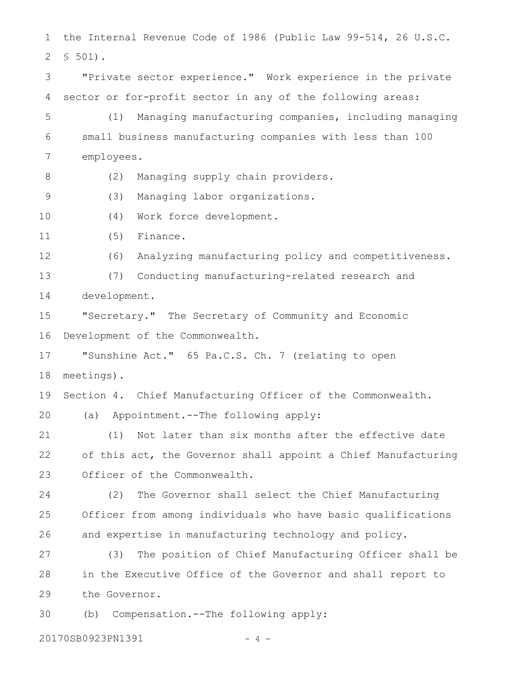the Internal Revenue Code of 1986 (Public Law 99-514, 26 U.S.C. § 501). "Private sector experience." Work experience in the private sector or for-profit sector in any of the following areas: (1) Managing manufacturing companies, including managing small business manufacturing companies with less than 100 employees. (2) Managing supply chain providers. (3) Managing labor organizations. (4) Work force development. (5) Finance. (6) Analyzing manufacturing policy and competitiveness. (7) Conducting manufacturing-related research and development. "Secretary." The Secretary of Community and Economic Development of the Commonwealth. "Sunshine Act." 65 Pa.C.S. Ch. 7 (relating to open meetings). Section 4. Chief Manufacturing Officer of the Commonwealth. (a) Appointment.--The following apply: (1) Not later than six months after the effective date of this act, the Governor shall appoint a Chief Manufacturing Officer of the Commonwealth. (2) The Governor shall select the Chief Manufacturing Officer from among individuals who have basic qualifications and expertise in manufacturing technology and policy. (3) The position of Chief Manufacturing Officer shall be in the Executive Office of the Governor and shall report to the Governor. (b) Compensation.--The following apply: 1 2 3 4 5 6 7 8 9 10 11 12 13 14 15 16 17 18 19 20 21 22 23 24 25 26 27 28 29 30

20170SB0923PN1391 - 4 -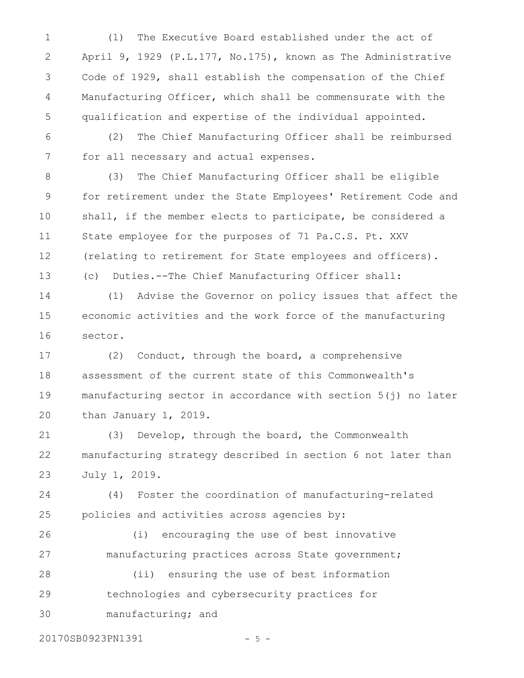(1) The Executive Board established under the act of April 9, 1929 (P.L.177, No.175), known as The Administrative Code of 1929, shall establish the compensation of the Chief Manufacturing Officer, which shall be commensurate with the qualification and expertise of the individual appointed. 1 2 3 4 5

(2) The Chief Manufacturing Officer shall be reimbursed for all necessary and actual expenses. 6 7

(3) The Chief Manufacturing Officer shall be eligible for retirement under the State Employees' Retirement Code and shall, if the member elects to participate, be considered a State employee for the purposes of 71 Pa.C.S. Pt. XXV (relating to retirement for State employees and officers). (c) Duties.--The Chief Manufacturing Officer shall: 8 9 10 11 12 13

(1) Advise the Governor on policy issues that affect the economic activities and the work force of the manufacturing sector. 14 15 16

(2) Conduct, through the board, a comprehensive assessment of the current state of this Commonwealth's manufacturing sector in accordance with section 5(j) no later than January 1, 2019. 17 18 19 20

(3) Develop, through the board, the Commonwealth manufacturing strategy described in section 6 not later than July 1, 2019. 21 22 23

(4) Foster the coordination of manufacturing-related policies and activities across agencies by: 24 25

(i) encouraging the use of best innovative manufacturing practices across State government; (ii) ensuring the use of best information 26 27 28

- technologies and cybersecurity practices for manufacturing; and 29
- 

20170SB0923PN1391 - 5 -

30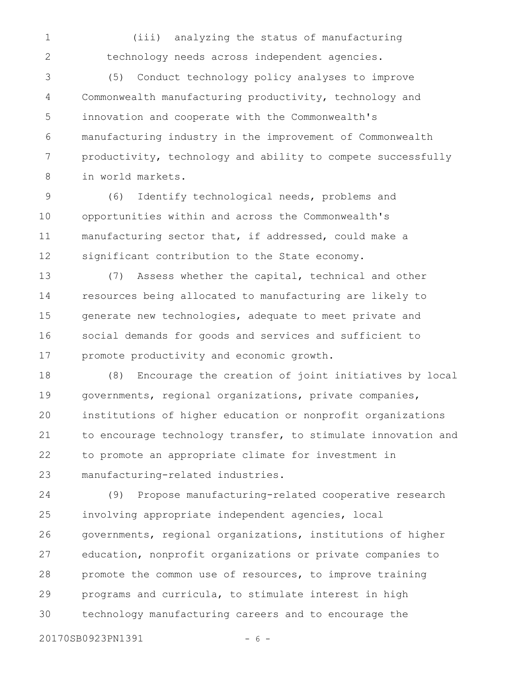(iii) analyzing the status of manufacturing technology needs across independent agencies. 1 2

(5) Conduct technology policy analyses to improve Commonwealth manufacturing productivity, technology and innovation and cooperate with the Commonwealth's manufacturing industry in the improvement of Commonwealth productivity, technology and ability to compete successfully in world markets. 3 4 5 6 7 8

(6) Identify technological needs, problems and opportunities within and across the Commonwealth's manufacturing sector that, if addressed, could make a significant contribution to the State economy. 9 10 11 12

(7) Assess whether the capital, technical and other resources being allocated to manufacturing are likely to generate new technologies, adequate to meet private and social demands for goods and services and sufficient to promote productivity and economic growth. 13 14 15 16 17

(8) Encourage the creation of joint initiatives by local governments, regional organizations, private companies, institutions of higher education or nonprofit organizations to encourage technology transfer, to stimulate innovation and to promote an appropriate climate for investment in manufacturing-related industries. 18 19 20 21 22 23

(9) Propose manufacturing-related cooperative research involving appropriate independent agencies, local governments, regional organizations, institutions of higher education, nonprofit organizations or private companies to promote the common use of resources, to improve training programs and curricula, to stimulate interest in high technology manufacturing careers and to encourage the 24 25 26 27 28 29 30

20170SB0923PN1391 - 6 -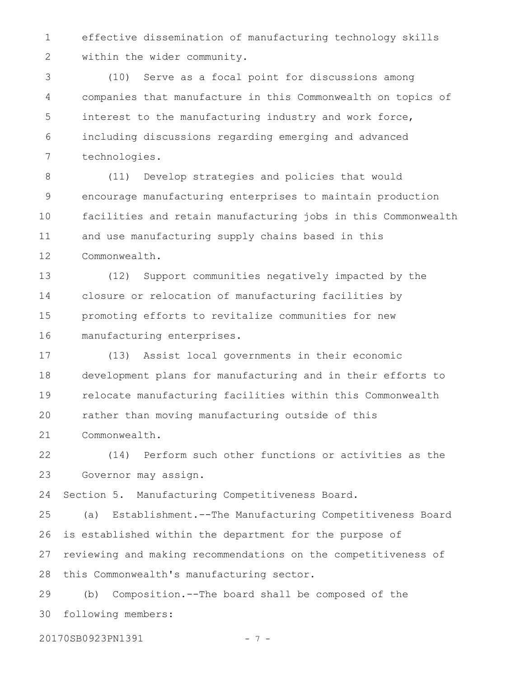effective dissemination of manufacturing technology skills within the wider community. 1 2

(10) Serve as a focal point for discussions among companies that manufacture in this Commonwealth on topics of interest to the manufacturing industry and work force, including discussions regarding emerging and advanced technologies. 3 4 5 6 7

(11) Develop strategies and policies that would encourage manufacturing enterprises to maintain production facilities and retain manufacturing jobs in this Commonwealth and use manufacturing supply chains based in this Commonwealth. 8 9 10 11 12

(12) Support communities negatively impacted by the closure or relocation of manufacturing facilities by promoting efforts to revitalize communities for new manufacturing enterprises. 13 14 15 16

(13) Assist local governments in their economic development plans for manufacturing and in their efforts to relocate manufacturing facilities within this Commonwealth rather than moving manufacturing outside of this Commonwealth. 17 18 19 20 21

(14) Perform such other functions or activities as the Governor may assign. 22 23

Section 5. Manufacturing Competitiveness Board. 24

(a) Establishment.--The Manufacturing Competitiveness Board is established within the department for the purpose of reviewing and making recommendations on the competitiveness of this Commonwealth's manufacturing sector. 25 26 27 28

(b) Composition.--The board shall be composed of the following members: 29 30

20170SB0923PN1391 - 7 -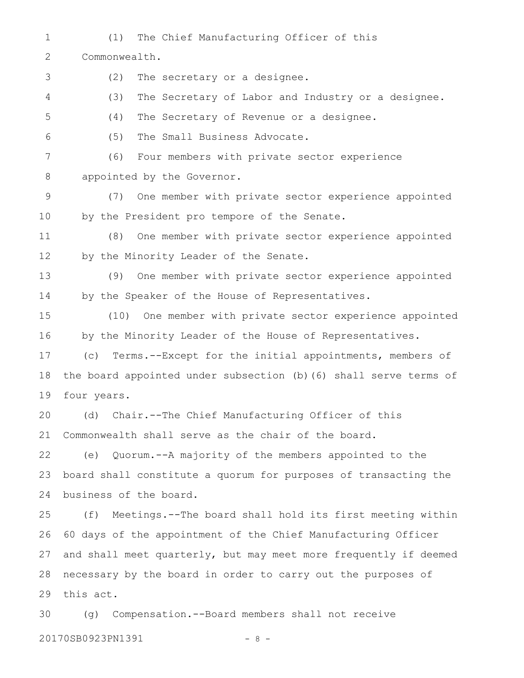- (1) The Chief Manufacturing Officer of this 1
- Commonwealth. 2
- (2) The secretary or a designee. 3
- (3) The Secretary of Labor and Industry or a designee. 4
- (4) The Secretary of Revenue or a designee. 5
- (5) The Small Business Advocate. 6
- (6) Four members with private sector experience appointed by the Governor. 7 8
- (7) One member with private sector experience appointed by the President pro tempore of the Senate. 9 10
- (8) One member with private sector experience appointed by the Minority Leader of the Senate. 11 12
- (9) One member with private sector experience appointed by the Speaker of the House of Representatives. 13 14
- (10) One member with private sector experience appointed by the Minority Leader of the House of Representatives. 15 16
- (c) Terms.--Except for the initial appointments, members of the board appointed under subsection (b)(6) shall serve terms of four years. 17 18 19
- (d) Chair.--The Chief Manufacturing Officer of this Commonwealth shall serve as the chair of the board. 20 21
- (e) Quorum.--A majority of the members appointed to the board shall constitute a quorum for purposes of transacting the business of the board. 22 23 24
- (f) Meetings.--The board shall hold its first meeting within 60 days of the appointment of the Chief Manufacturing Officer and shall meet quarterly, but may meet more frequently if deemed necessary by the board in order to carry out the purposes of this act. 25 26 27 28 29
- (g) Compensation.--Board members shall not receive 20170SB0923PN1391 - 8 -30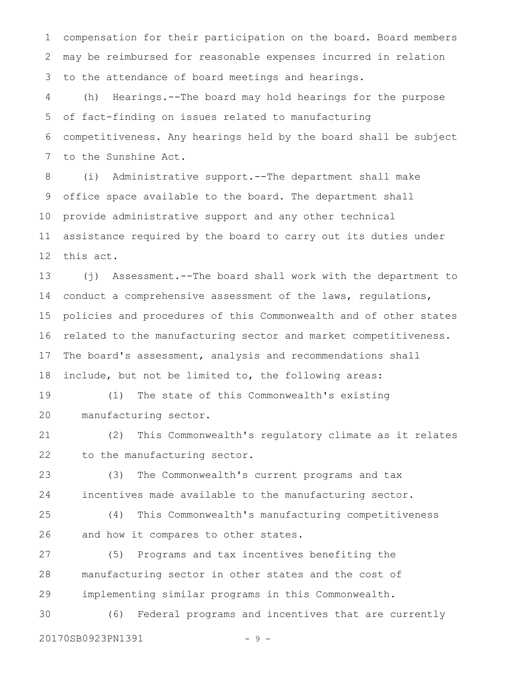compensation for their participation on the board. Board members may be reimbursed for reasonable expenses incurred in relation to the attendance of board meetings and hearings. 1 2 3

(h) Hearings.--The board may hold hearings for the purpose of fact-finding on issues related to manufacturing competitiveness. Any hearings held by the board shall be subject to the Sunshine Act. 4 5 6 7

(i) Administrative support.--The department shall make office space available to the board. The department shall provide administrative support and any other technical assistance required by the board to carry out its duties under this act. 8 9 10 11 12

(j) Assessment.--The board shall work with the department to conduct a comprehensive assessment of the laws, regulations, policies and procedures of this Commonwealth and of other states related to the manufacturing sector and market competitiveness. The board's assessment, analysis and recommendations shall include, but not be limited to, the following areas: 13 14 15 16 17 18

(1) The state of this Commonwealth's existing manufacturing sector. 19 20

(2) This Commonwealth's regulatory climate as it relates to the manufacturing sector. 21 22

(3) The Commonwealth's current programs and tax incentives made available to the manufacturing sector. 23 24

(4) This Commonwealth's manufacturing competitiveness and how it compares to other states. 25 26

(5) Programs and tax incentives benefiting the manufacturing sector in other states and the cost of implementing similar programs in this Commonwealth. 27 28 29

(6) Federal programs and incentives that are currently 20170SB0923PN1391 - 9 -30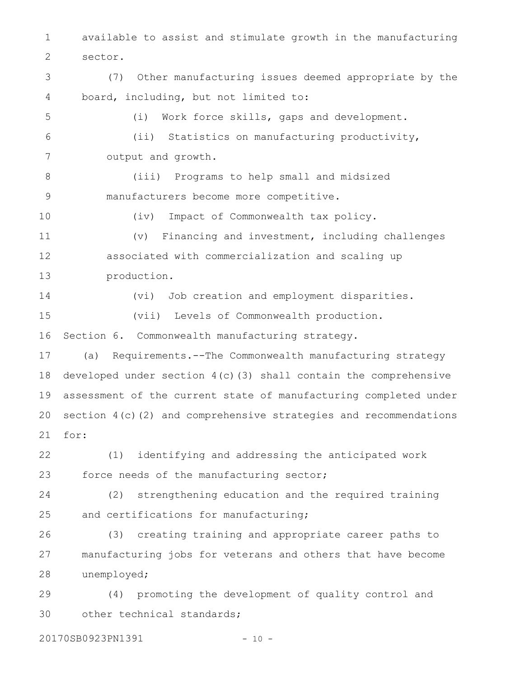available to assist and stimulate growth in the manufacturing sector. 1 2

(7) Other manufacturing issues deemed appropriate by the board, including, but not limited to: 3 4

(i) Work force skills, gaps and development. (ii) Statistics on manufacturing productivity, output and growth. 5 6 7

(iii) Programs to help small and midsized manufacturers become more competitive. 8 9

(iv) Impact of Commonwealth tax policy. (v) Financing and investment, including challenges associated with commercialization and scaling up production. 10 11 12 13

(vi) Job creation and employment disparities. (vii) Levels of Commonwealth production. Section 6. Commonwealth manufacturing strategy. 14 15 16

(a) Requirements.--The Commonwealth manufacturing strategy developed under section 4(c)(3) shall contain the comprehensive assessment of the current state of manufacturing completed under section 4(c)(2) and comprehensive strategies and recommendations for: 17 18 19 20 21

(1) identifying and addressing the anticipated work force needs of the manufacturing sector; 22 23

(2) strengthening education and the required training and certifications for manufacturing; 24 25

(3) creating training and appropriate career paths to manufacturing jobs for veterans and others that have become unemployed; 26 27 28

(4) promoting the development of quality control and other technical standards; 29 30

20170SB0923PN1391 - 10 -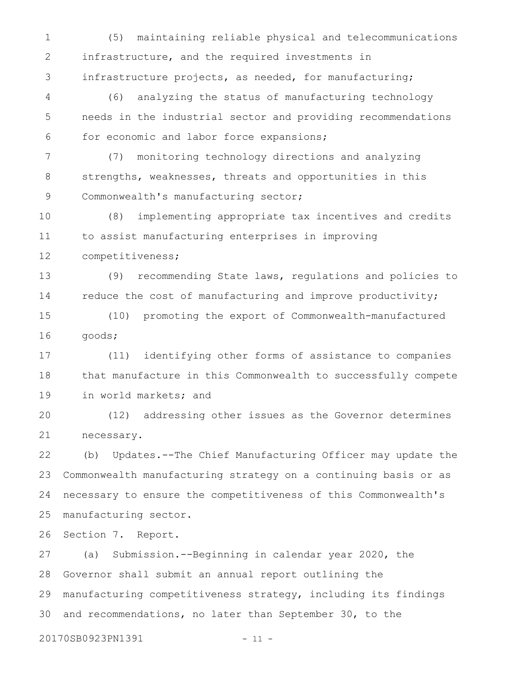(5) maintaining reliable physical and telecommunications infrastructure, and the required investments in infrastructure projects, as needed, for manufacturing; 1 2 3

(6) analyzing the status of manufacturing technology needs in the industrial sector and providing recommendations for economic and labor force expansions; 4 5 6

(7) monitoring technology directions and analyzing strengths, weaknesses, threats and opportunities in this Commonwealth's manufacturing sector; 7 8 9

(8) implementing appropriate tax incentives and credits to assist manufacturing enterprises in improving competitiveness; 10 11 12

(9) recommending State laws, regulations and policies to reduce the cost of manufacturing and improve productivity; 13 14

(10) promoting the export of Commonwealth-manufactured goods; 15 16

(11) identifying other forms of assistance to companies that manufacture in this Commonwealth to successfully compete in world markets; and 17 18 19

(12) addressing other issues as the Governor determines necessary. 20 21

(b) Updates.--The Chief Manufacturing Officer may update the Commonwealth manufacturing strategy on a continuing basis or as necessary to ensure the competitiveness of this Commonwealth's manufacturing sector. 22 23 24 25

Section 7. Report. 26

(a) Submission.--Beginning in calendar year 2020, the Governor shall submit an annual report outlining the manufacturing competitiveness strategy, including its findings and recommendations, no later than September 30, to the 27 28 29 30

20170SB0923PN1391 - 11 -